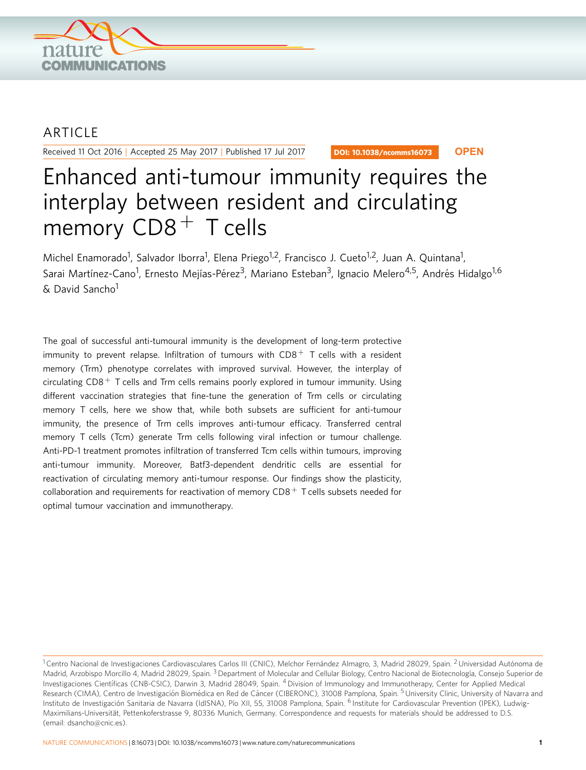

## **ARTICLE**

Received 11 Oct 2016 | Accepted 25 May 2017 | Published 17 Jul 2017

DOI: 10.1038/ncomms16073 **OPEN**

# Enhanced anti-tumour immunity requires the interplay between resident and circulating memory  $CDS$ <sup>+</sup> T cells

Michel Enamorado<sup>1</sup>, Salvador Iborra<sup>1</sup>, Elena Priego<sup>1,2</sup>, Francisco J. Cueto<sup>1,2</sup>, Juan A. Quintana<sup>1</sup>, Sarai Martínez-Cano<sup>1</sup>, Ernesto Mejías-Pérez<sup>3</sup>, Mariano Esteban<sup>3</sup>, Ignacio Melero<sup>4,5</sup>, Andrés Hidalgo<sup>1,6</sup> & David Sancho1

The goal of successful anti-tumoural immunity is the development of long-term protective immunity to prevent relapse. Infiltration of tumours with  $CDS<sup>+</sup>$  T cells with a resident memory (Trm) phenotype correlates with improved survival. However, the interplay of circulating  $CDB$ <sup>+</sup> T cells and Trm cells remains poorly explored in tumour immunity. Using different vaccination strategies that fine-tune the generation of Trm cells or circulating memory T cells, here we show that, while both subsets are sufficient for anti-tumour immunity, the presence of Trm cells improves anti-tumour efficacy. Transferred central memory T cells (Tcm) generate Trm cells following viral infection or tumour challenge. Anti-PD-1 treatment promotes infiltration of transferred Tcm cells within tumours, improving anti-tumour immunity. Moreover, Batf3-dependent dendritic cells are essential for reactivation of circulating memory anti-tumour response. Our findings show the plasticity, collaboration and requirements for reactivation of memory  $CDB$ <sup>+</sup> T cells subsets needed for optimal tumour vaccination and immunotherapy.

 $1$ Centro Nacional de Investigaciones Cardiovasculares Carlos III (CNIC), Melchor Fernández Almagro, 3, Madrid 28029, Spain. <sup>2</sup> Universidad Autónoma de Madrid, Arzobispo Morcillo 4, Madrid 28029, Spain.<sup>3</sup> Department of Molecular and Cellular Biology, Centro Nacional de Biotecnología, Consejo Superior de Investigaciones Científicas (CNB-CSIC), Darwin 3, Madrid 28049, Spain. <sup>4</sup> Division of Immunology and Immunotherapy, Center for Applied Medical Research (CIMA), Centro de Investigación Biomédica en Red de Cáncer (CIBERONC), 31008 Pamplona, Spain. <sup>5</sup> University Clinic, University of Navarra and Instituto de Investigación Sanitaria de Navarra (IdISNA), Pío XII, 55, 31008 Pamplona, Spain. <sup>6</sup> Institute for Cardiovascular Prevention (IPEK), Ludwig-Maximilians-Universität, Pettenkoferstrasse 9, 80336 Munich, Germany. Correspondence and requests for materials should be addressed to D.S. (email: [dsancho@cnic.es](mailto:dsancho@cnic.es)).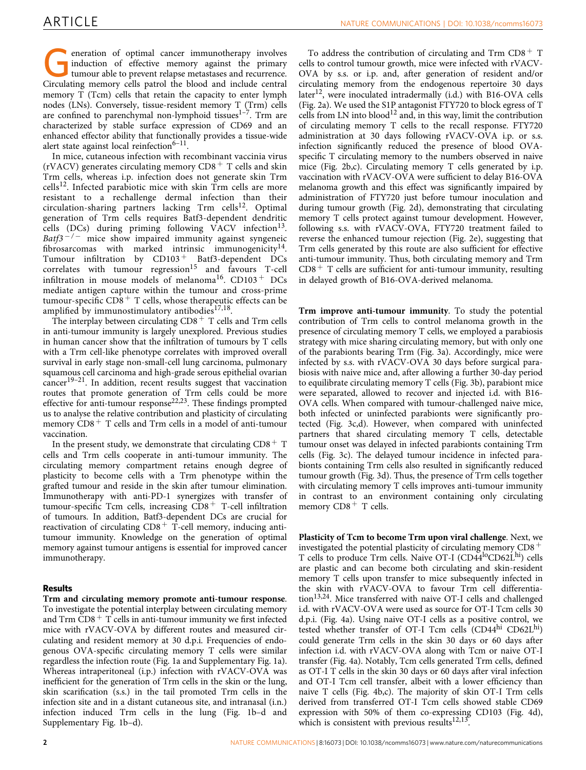eneration of optimal cancer immunotherapy involves induction of effective memory against the primary tumour able to prevent relapse metastases and recurrence. Circulating memory cells patrol the blood and include central memory T (Tcm) cells that retain the capacity to enter lymph nodes (LNs). Conversely, tissue-resident memory T (Trm) cells are confined to parenchymal non-lymphoid tissues $1-7$ . Trm are characterized by stable surface expression of CD69 and an enhanced effector ability that functionally provides a tissue-wide alert state against local reinfection $6-11$ .

In mice, cutaneous infection with recombinant vaccinia virus (rVACV) generates circulating memory  $CD8<sup>+</sup>$  T cells and skin Trm cells, whereas i.p. infection does not generate skin Trm  $cells<sup>12</sup>$ . Infected parabiotic mice with skin Trm cells are more resistant to a rechallenge dermal infection than their circulation-sharing partners lacking Trm cells<sup>12</sup>. Optimal generation of Trm cells requires Batf3-dependent dendritic cells (DCs) during priming following VACV infection<sup>13</sup>. Batf3<sup>-/-</sup> mice show impaired immunity against syngeneic fibrosarcomas with marked intrinsic immunogenicity<sup>14</sup>. Tumour infiltration by  $CD103 + B$ atf3-dependent DCs  $correlates$  with tumour regression<sup>[15](#page-9-0)</sup> and favours T-cell infiltration in mouse models of melanoma $^{16}$  $^{16}$  $^{16}$ . CD103<sup>+</sup> DCs mediate antigen capture within the tumour and cross-prime tumour-specific  $CD8 + T$  cells, whose therapeutic effects can be amplified by immunostimulatory antibodies $17,18$ .

The interplay between circulating  $CD8<sup>+</sup>$  T cells and Trm cells in anti-tumour immunity is largely unexplored. Previous studies in human cancer show that the infiltration of tumours by T cells with a Trm cell-like phenotype correlates with improved overall survival in early stage non-small-cell lung carcinoma, pulmonary squamous cell carcinoma and high-grade serous epithelial ovarian cancer[19–21.](#page-9-0) In addition, recent results suggest that vaccination routes that promote generation of Trm cells could be more effective for anti-tumour response<sup>[22,23](#page-9-0)</sup>. These findings prompted us to analyse the relative contribution and plasticity of circulating memory  $CDS + T$  cells and Trm cells in a model of anti-tumour vaccination.

In the present study, we demonstrate that circulating  $CD8 + T$ cells and Trm cells cooperate in anti-tumour immunity. The circulating memory compartment retains enough degree of plasticity to become cells with a Trm phenotype within the grafted tumour and reside in the skin after tumour elimination. Immunotherapy with anti-PD-1 synergizes with transfer of tumour-specific Tcm cells, increasing  $\overline{CD}8$ <sup>+</sup> T-cell infiltration of tumours. In addition, Batf3-dependent DCs are crucial for reactivation of circulating  $CD8<sup>+</sup>$  T-cell memory, inducing antitumour immunity. Knowledge on the generation of optimal memory against tumour antigens is essential for improved cancer immunotherapy.

#### Results

Trm and circulating memory promote anti-tumour response. To investigate the potential interplay between circulating memory and Trm  $CD8$ <sup>+</sup> T cells in anti-tumour immunity we first infected mice with rVACV-OVA by different routes and measured circulating and resident memory at 30 d.p.i. Frequencies of endogenous OVA-specific circulating memory T cells were similar regardless the infection route ([Fig. 1a](#page-2-0) and Supplementary Fig. 1a). Whereas intraperitoneal (i.p.) infection with rVACV-OVA was inefficient for the generation of Trm cells in the skin or the lung, skin scarification (s.s.) in the tail promoted Trm cells in the infection site and in a distant cutaneous site, and intranasal (i.n.) infection induced Trm cells in the lung [\(Fig. 1b–d](#page-2-0) and Supplementary Fig. 1b–d).

To address the contribution of circulating and Trm  $CD8<sup>+</sup>$  T cells to control tumour growth, mice were infected with rVACV-OVA by s.s. or i.p. and, after generation of resident and/or circulating memory from the endogenous repertoire 30 days later<sup>12</sup>, were inoculated intradermally  $(i.d.)$  with B16-OVA cells ([Fig. 2a\)](#page-2-0). We used the S1P antagonist FTY720 to block egress of T cells from LN into  $b$ lood<sup>[12](#page-9-0)</sup> and, in this way, limit the contribution of circulating memory T cells to the recall response. FTY720 administration at 30 days following rVACV-OVA i.p. or s.s. infection significantly reduced the presence of blood OVAspecific T circulating memory to the numbers observed in naive mice [\(Fig. 2b,c\)](#page-2-0). Circulating memory T cells generated by i.p. vaccination with rVACV-OVA were sufficient to delay B16-OVA melanoma growth and this effect was significantly impaired by administration of FTY720 just before tumour inoculation and during tumour growth [\(Fig. 2d](#page-2-0)), demonstrating that circulating memory T cells protect against tumour development. However, following s.s. with rVACV-OVA, FTY720 treatment failed to reverse the enhanced tumour rejection ([Fig. 2e](#page-2-0)), suggesting that Trm cells generated by this route are also sufficient for effective anti-tumour immunity. Thus, both circulating memory and Trm  $CD8<sup>+</sup>$  T cells are sufficient for anti-tumour immunity, resulting in delayed growth of B16-OVA-derived melanoma.

Trm improve anti-tumour immunity. To study the potential contribution of Trm cells to control melanoma growth in the presence of circulating memory T cells, we employed a parabiosis strategy with mice sharing circulating memory, but with only one of the parabionts bearing Trm [\(Fig. 3a\)](#page-3-0). Accordingly, mice were infected by s.s. with rVACV-OVA 30 days before surgical parabiosis with naive mice and, after allowing a further 30-day period to equilibrate circulating memory T cells ([Fig. 3b](#page-3-0)), parabiont mice were separated, allowed to recover and injected i.d. with B16- OVA cells. When compared with tumour-challenged naive mice, both infected or uninfected parabionts were significantly protected ([Fig. 3c,d](#page-3-0)). However, when compared with uninfected partners that shared circulating memory T cells, detectable tumour onset was delayed in infected parabionts containing Trm cells ([Fig. 3c](#page-3-0)). The delayed tumour incidence in infected parabionts containing Trm cells also resulted in significantly reduced tumour growth ([Fig. 3d\)](#page-3-0). Thus, the presence of Trm cells together with circulating memory T cells improves anti-tumour immunity in contrast to an environment containing only circulating memory  $CD8$ <sup>+</sup> T cells.

Plasticity of Tcm to become Trm upon viral challenge. Next, we investigated the potential plasticity of circulating memory  $CD8$ <sup>+</sup> T cells to produce Trm cells. Naive OT-I (CD44<sup>lo</sup>CD62L<sup>hi</sup>) cells are plastic and can become both circulating and skin-resident memory T cells upon transfer to mice subsequently infected in the skin with rVACV-OVA to favour Trm cell differentia- $\chi$  tion<sup>13,24</sup>. Mice transferred with naive OT-I cells and challenged i.d. with rVACV-OVA were used as source for OT-I Tcm cells 30 d.p.i. [\(Fig. 4a](#page-4-0)). Using naive OT-I cells as a positive control, we tested whether transfer of OT-I Tcm cells (CD44hi CD62Lhi) could generate Trm cells in the skin 30 days or 60 days after infection i.d. with rVACV-OVA along with Tcm or naive OT-I transfer ([Fig. 4a\)](#page-4-0). Notably, Tcm cells generated Trm cells, defined as OT-I T cells in the skin 30 days or 60 days after viral infection and OT-I Tcm cell transfer, albeit with a lower efficiency than naive T cells [\(Fig. 4b,c\)](#page-4-0). The majority of skin OT-I Trm cells derived from transferred OT-I Tcm cells showed stable CD69 expression with 50% of them co-expressing CD103 [\(Fig. 4d](#page-4-0)), which is consistent with previous results $12,13$ .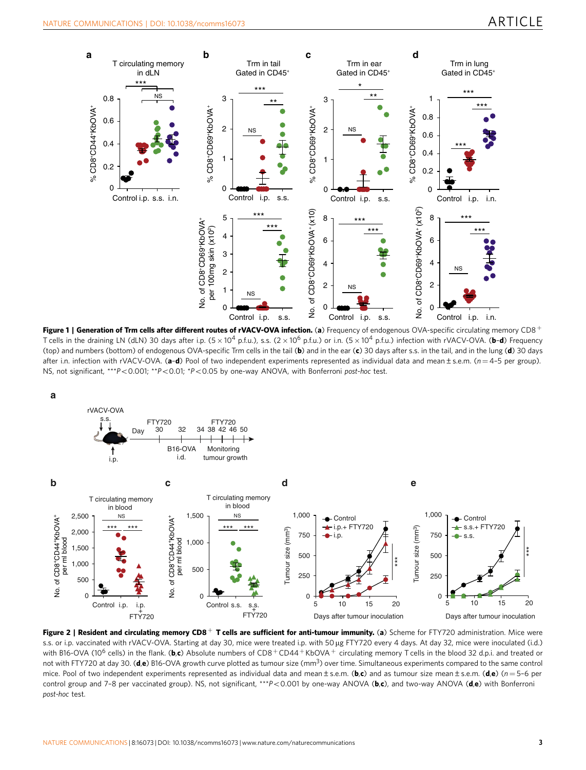<span id="page-2-0"></span>

Figure 1 | Generation of Trm cells after different routes of rVACV-OVA infection. (a) Frequency of endogenous OVA-specific circulating memory CD8+ T cells in the draining LN (dLN) 30 days after i.p.  $(5 \times 10^4$  p.f.u.), s.s.  $(2 \times 10^6$  p.f.u.) or i.n.  $(5 \times 10^4$  p.f.u.) infection with rVACV-OVA. (b-d) Frequency (top) and numbers (bottom) of endogenous OVA-specific Trm cells in the tail (b) and in the ear (c) 30 days after s.s. in the tail, and in the lung (d) 30 days after i.n. infection with rVACV-OVA. (a-d) Pool of two independent experiments represented as individual data and mean ± s.e.m. ( $n=4$ -5 per group). NS, not significant, \*\*\* $P < 0.001$ ; \*\* $P < 0.01$ ; \* $P < 0.05$  by one-way ANOVA, with Bonferroni post-hoc test.



Figure 2 | Resident and circulating memory CD8<sup>+</sup> T cells are sufficient for anti-tumour immunity. (a) Scheme for FTY720 administration. Mice were s.s. or i.p. vaccinated with rVACV-OVA. Starting at day 30, mice were treated i.p. with 50 µg FTY720 every 4 days. At day 32, mice were inoculated (i.d.) with B16-OVA (10<sup>6</sup> cells) in the flank. (b,c) Absolute numbers of CD8<sup>+</sup>CD44<sup>+</sup>KbOVA<sup>+</sup> circulating memory T cells in the blood 32 d.p.i. and treated or not with FTY720 at day 30. (d,e) B16-OVA growth curve plotted as tumour size (mm<sup>3</sup>) over time. Simultaneous experiments compared to the same control mice. Pool of two independent experiments represented as individual data and mean ± s.e.m. (b,c) and as tumour size mean ± s.e.m. (d,e) ( $n = 5-6$  per control group and 7-8 per vaccinated group). NS, not significant, \*\*\* $P$ <0.001 by one-way ANOVA (b,c), and two-way ANOVA (d,e) with Bonferroni post-hoc test.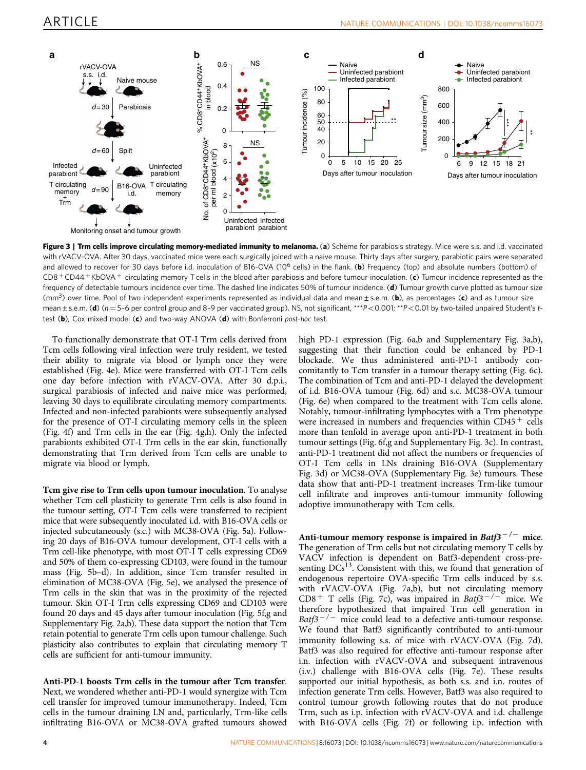<span id="page-3-0"></span>

Figure 3 | Trm cells improve circulating memory-mediated immunity to melanoma. (a) Scheme for parabiosis strategy. Mice were s.s. and i.d. vaccinated with rVACV-OVA. After 30 days, vaccinated mice were each surgically joined with a naive mouse. Thirty days after surgery, parabiotic pairs were separated and allowed to recover for 30 days before i.d. inoculation of B16-OVA (10<sup>6</sup> cells) in the flank. (b) Frequency (top) and absolute numbers (bottom) of  $CD8 + CD44 + KbOVA +$  circulating memory T cells in the blood after parabiosis and before tumour inoculation. (c) Tumour incidence represented as the frequency of detectable tumours incidence over time. The dashed line indicates 50% of tumour incidence. (d) Tumour growth curve plotted as tumour size (mm<sup>3</sup>) over time. Pool of two independent experiments represented as individual data and mean  $\pm$  s.e.m. (b), as percentages (c) and as tumour size mean  $\pm$  s.e.m. (d) ( $n = 5$ -6 per control group and 8-9 per vaccinated group). NS, not significant, \*\*\*P<0.001; \*\*P<0.01 by two-tailed unpaired Student's ttest (b), Cox mixed model (c) and two-way ANOVA (d) with Bonferroni post-hoc test.

To functionally demonstrate that OT-I Trm cells derived from Tcm cells following viral infection were truly resident, we tested their ability to migrate via blood or lymph once they were established [\(Fig. 4e\)](#page-4-0). Mice were transferred with OT-I Tcm cells one day before infection with rVACV-OVA. After 30 d.p.i., surgical parabiosis of infected and naive mice was performed, leaving 30 days to equilibrate circulating memory compartments. Infected and non-infected parabionts were subsequently analysed for the presence of OT-I circulating memory cells in the spleen ([Fig. 4f\)](#page-4-0) and Trm cells in the ear ([Fig. 4g,h\)](#page-4-0). Only the infected parabionts exhibited OT-I Trm cells in the ear skin, functionally demonstrating that Trm derived from Tcm cells are unable to migrate via blood or lymph.

Tcm give rise to Trm cells upon tumour inoculation. To analyse whether Tcm cell plasticity to generate Trm cells is also found in the tumour setting, OT-I Tcm cells were transferred to recipient mice that were subsequently inoculated i.d. with B16-OVA cells or injected subcutaneously (s.c.) with MC38-OVA [\(Fig. 5a\)](#page-5-0). Following 20 days of B16-OVA tumour development, OT-I cells with a Trm cell-like phenotype, with most OT-I T cells expressing CD69 and 50% of them co-expressing CD103, were found in the tumour mass [\(Fig. 5b–d\)](#page-5-0). In addition, since Tcm transfer resulted in elimination of MC38-OVA ([Fig. 5e\)](#page-5-0), we analysed the presence of Trm cells in the skin that was in the proximity of the rejected tumour. Skin OT-I Trm cells expressing CD69 and CD103 were found 20 days and 45 days after tumour inoculation [\(Fig. 5f,g](#page-5-0) and Supplementary Fig. 2a,b). These data support the notion that Tcm retain potential to generate Trm cells upon tumour challenge. Such plasticity also contributes to explain that circulating memory T cells are sufficient for anti-tumour immunity.

Anti-PD-1 boosts Trm cells in the tumour after Tcm transfer. Next, we wondered whether anti-PD-1 would synergize with Tcm cell transfer for improved tumour immunotherapy. Indeed, Tcm cells in the tumour draining LN and, particularly, Trm-like cells infiltrating B16-OVA or MC38-OVA grafted tumours showed

high PD-1 expression [\(Fig. 6a,b](#page-6-0) and Supplementary Fig. 3a,b), suggesting that their function could be enhanced by PD-1 blockade. We thus administered anti-PD-1 antibody concomitantly to Tcm transfer in a tumour therapy setting [\(Fig. 6c](#page-6-0)). The combination of Tcm and anti-PD-1 delayed the development of i.d. B16-OVA tumour [\(Fig. 6d](#page-6-0)) and s.c. MC38-OVA tumour ([Fig. 6e](#page-6-0)) when compared to the treatment with Tcm cells alone. Notably, tumour-infiltrating lymphocytes with a Trm phenotype were increased in numbers and frequencies within  $CD45<sup>+</sup>$  cells more than tenfold in average upon anti-PD-1 treatment in both tumour settings ([Fig. 6f,g](#page-6-0) and Supplementary Fig. 3c). In contrast, anti-PD-1 treatment did not affect the numbers or frequencies of OT-I Tcm cells in LNs draining B16-OVA (Supplementary Fig. 3d) or MC38-OVA (Supplementary Fig. 3e) tumours. These data show that anti-PD-1 treatment increases Trm-like tumour cell infiltrate and improves anti-tumour immunity following adoptive immunotherapy with Tcm cells.

Anti-tumour memory response is impaired in  $Batf3^{-/-}$  mice. The generation of Trm cells but not circulating memory T cells by VACV infection is dependent on Batf3-dependent cross-presenting  $DCs<sup>13</sup>$ . Consistent with this, we found that generation of endogenous repertoire OVA-specific Trm cells induced by s.s. with rVACV-OVA ([Fig. 7a,b](#page-7-0)), but not circulating memory CD8<sup>+</sup> T cells [\(Fig. 7c\)](#page-7-0), was impaired in Batf3<sup>-/-</sup> mice. We therefore hypothesized that impaired Trm cell generation in Batf3<sup>-/-</sup> mice could lead to a defective anti-tumour response. We found that Batf3 significantly contributed to anti-tumour immunity following s.s. of mice with rVACV-OVA [\(Fig. 7d](#page-7-0)). Batf3 was also required for effective anti-tumour response after i.n. infection with rVACV-OVA and subsequent intravenous (i.v.) challenge with B16-OVA cells ([Fig. 7e\)](#page-7-0). These results supported our initial hypothesis, as both s.s. and i.n. routes of infection generate Trm cells. However, Batf3 was also required to control tumour growth following routes that do not produce Trm, such as i.p. infection with rVACV-OVA and i.d. challenge with B16-OVA cells ([Fig. 7f\)](#page-7-0) or following i.p. infection with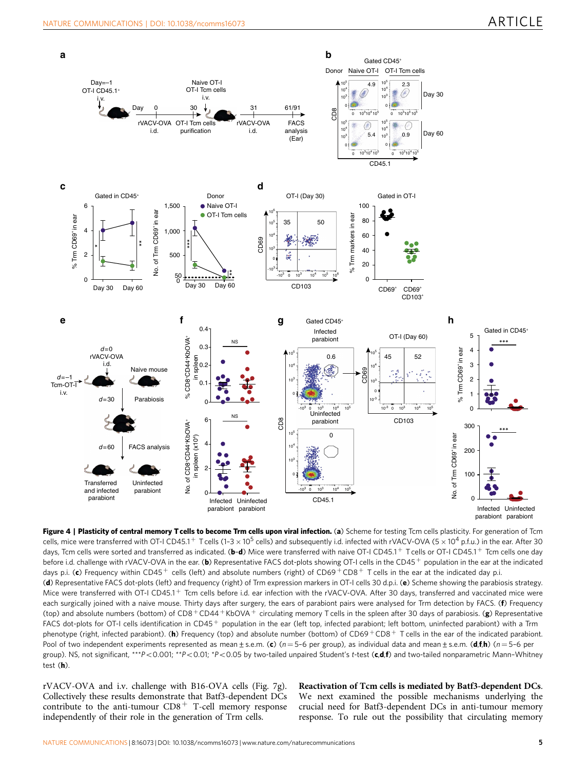<span id="page-4-0"></span>

Figure 4 | Plasticity of central memory T cells to become Trm cells upon viral infection. (a) Scheme for testing Tcm cells plasticity. For generation of Tcm cells, mice were transferred with OT-I CD45.1<sup>+</sup> T cells (1-3  $\times$  10<sup>5</sup> cells) and subsequently i.d. infected with rVACV-OVA (5  $\times$  10<sup>4</sup> p.f.u.) in the ear. After 30 days, Tcm cells were sorted and transferred as indicated. ( $b-d$ ) Mice were transferred with naive OT-I CD45.1 + Tcells or OT-I CD45.1 + Tcm cells one day before i.d. challenge with rVACV-OVA in the ear. (b) Representative FACS dot-plots showing OT-I cells in the CD45+ population in the ear at the indicated days p.i. (c) Frequency within CD45<sup>+</sup> cells (left) and absolute numbers (right) of CD69<sup>+</sup> CD8<sup>+</sup> T cells in the ear at the indicated day p.i.

(d) Representative FACS dot-plots (left) and frequency (right) of Trm expression markers in OT-I cells 30 d.p.i. (e) Scheme showing the parabiosis strategy. Mice were transferred with OT-I CD45.1<sup>+</sup> Tcm cells before i.d. ear infection with the rVACV-OVA. After 30 days, transferred and vaccinated mice were each surgically joined with a naive mouse. Thirty days after surgery, the ears of parabiont pairs were analysed for Trm detection by FACS. (f) Frequency (top) and absolute numbers (bottom) of  $CD8 + CD44 + KboVA +$  circulating memory T cells in the spleen after 30 days of parabiosis. (g) Representative FACS dot-plots for OT-I cells identification in CD45+ population in the ear (left top, infected parabiont; left bottom, uninfected parabiont) with a Trm phenotype (right, infected parabiont). (h) Frequency (top) and absolute number (bottom) of CD69+CD8+ T cells in the ear of the indicated parabiont. Pool of two independent experiments represented as mean ± s.e.m. (c) (n = 5-6 per group), as individual data and mean ± s.e.m. (d,f,h) (n = 5-6 per group). NS, not significant, \*\*\*P<0.001; \*\*P<0.01; \*P<0.05 by two-tailed unpaired Student's t-test (c,d,f) and two-tailed nonparametric Mann-Whitney test (h).

rVACV-OVA and i.v. challenge with B16-OVA cells ([Fig. 7g](#page-7-0)). Collectively these results demonstrate that Batf3-dependent DCs contribute to the anti-tumour  $CD8<sup>+</sup>$  T-cell memory response independently of their role in the generation of Trm cells.

Reactivation of Tcm cells is mediated by Batf3-dependent DCs. We next examined the possible mechanisms underlying the crucial need for Batf3-dependent DCs in anti-tumour memory response. To rule out the possibility that circulating memory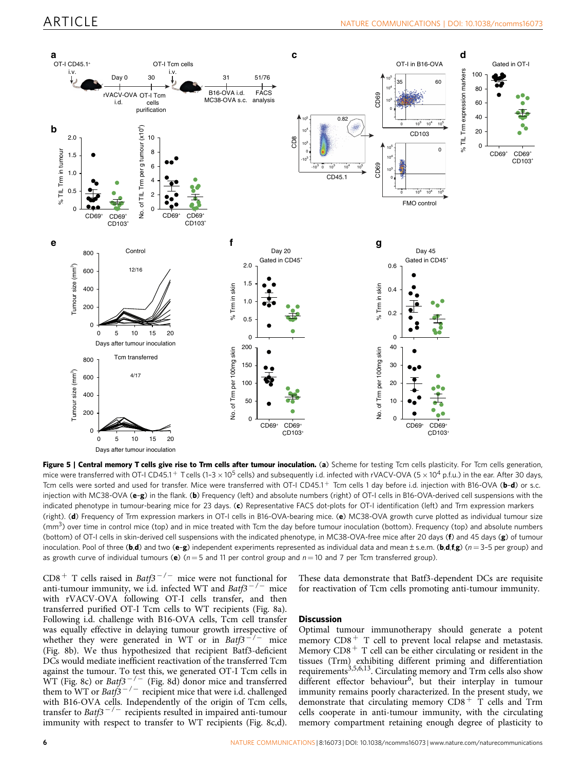<span id="page-5-0"></span>

Figure 5 | Central memory T cells give rise to Trm cells after tumour inoculation. (a) Scheme for testing Tcm cells plasticity. For Tcm cells generation, mice were transferred with OT-I CD45.1<sup>+</sup> T cells (1–3 × 10<sup>5</sup> cells) and subsequently i.d. infected with rVACV-OVA (5 × 10<sup>4</sup> p.f.u.) in the ear. After 30 days, Tcm cells were sorted and used for transfer. Mice were transferred with OT-I CD45.1<sup>+</sup> Tcm cells 1 day before i.d. injection with B16-OVA (b-d) or s.c. injection with MC38-OVA (e-g) in the flank. (b) Frequency (left) and absolute numbers (right) of OT-I cells in B16-OVA-derived cell suspensions with the indicated phenotype in tumour-bearing mice for 23 days. (c) Representative FACS dot-plots for OT-I identification (left) and Trm expression markers (right). (d) Frequency of Trm expression markers in OT-I cells in B16-OVA-bearing mice. (e) MC38-OVA growth curve plotted as individual tumour size (mm<sup>3</sup>) over time in control mice (top) and in mice treated with Tcm the day before tumour inoculation (bottom). Frequency (top) and absolute numbers (bottom) of OT-I cells in skin-derived cell suspensions with the indicated phenotype, in MC38-OVA-free mice after 20 days (f) and 45 days (g) of tumour inoculation. Pool of three (b,d) and two (e-g) independent experiments represented as individual data and mean  $\pm$  s.e.m. (b,d,f,g) (n = 3-5 per group) and as growth curve of individual tumours (e)  $(n = 5$  and 11 per control group and  $n = 10$  and 7 per Tcm transferred group).

 $CDS + T$  cells raised in Batf3<sup>-/-</sup> mice were not functional for anti-tumour immunity, we i.d. infected WT and  $Batf3^{-/-}$  mice with rVACV-OVA following OT-I cells transfer, and then transferred purified OT-I Tcm cells to WT recipients [\(Fig. 8a](#page-8-0)). Following i.d. challenge with B16-OVA cells, Tcm cell transfer was equally effective in delaying tumour growth irrespective of whether they were generated in WT or in Batf3<sup>-/-</sup> mice ([Fig. 8b\)](#page-8-0). We thus hypothesized that recipient Batf3-deficient DCs would mediate inefficient reactivation of the transferred Tcm against the tumour. To test this, we generated OT-I Tcm cells in WT ([Fig. 8c](#page-8-0)) or Batf3<sup>-/-</sup> [\(Fig. 8d](#page-8-0)) donor mice and transferred them to WT or Batf3<sup>-/-</sup> recipient mice that were i.d. challenged with B16-OVA cells. Independently of the origin of Tcm cells, transfer to Batf $3^{-/-}$  recipients resulted in impaired anti-tumour immunity with respect to transfer to WT recipients [\(Fig. 8c,d](#page-8-0)).

These data demonstrate that Batf3-dependent DCs are requisite for reactivation of Tcm cells promoting anti-tumour immunity.

#### **Discussion**

Optimal tumour immunotherapy should generate a potent memory  $CD8<sup>+</sup>$  T cell to prevent local relapse and metastasis. Memory  $CD8<sup>+</sup>$  T cell can be either circulating or resident in the tissues (Trm) exhibiting different priming and differentiation requirements<sup>3,5,6,13</sup>. Circulating memory and Trm cells also show different effector behaviour<sup>[6](#page-9-0)</sup>, but their interplay in tumour immunity remains poorly characterized. In the present study, we demonstrate that circulating memory  $CD8^+$  T cells and Trm cells cooperate in anti-tumour immunity, with the circulating memory compartment retaining enough degree of plasticity to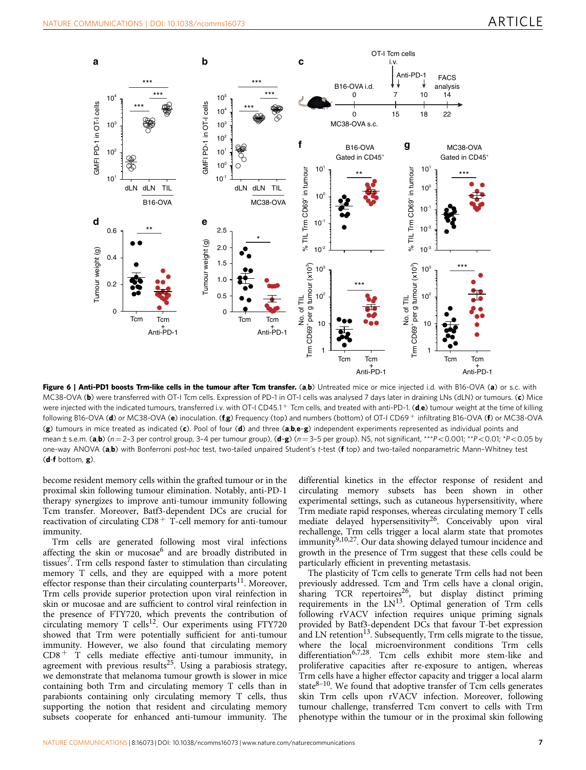<span id="page-6-0"></span>

Figure 6 | Anti-PD1 boosts Trm-like cells in the tumour after Tcm transfer. (a,b) Untreated mice or mice injected i.d. with B16-OVA (a) or s.c. with MC38-OVA (b) were transferred with OT-I Tcm cells. Expression of PD-1 in OT-I cells was analysed 7 days later in draining LNs (dLN) or tumours. (c) Mice were injected with the indicated tumours, transferred i.v. with OT-I CD45.1<sup>+</sup> Tcm cells, and treated with anti-PD-1. (d,e) tumour weight at the time of killing following B16-OVA (d) or MC38-OVA (e) inoculation. (fg) Frequency (top) and numbers (bottom) of OT-I CD69+ infiltrating B16-OVA (f) or MC38-OVA (g) tumours in mice treated as indicated (c). Pool of four (d) and three (a,b,e-g) independent experiments represented as individual points and mean  $\pm$  s.e.m. (a,b) (n = 2-3 per control group, 3-4 per tumour group), (d-g) (n = 3-5 per group). NS, not significant, \*\*\*P<0.001; \*\*P<0.01; \*P<0.05 by one-way ANOVA (a,b) with Bonferroni post-hoc test, two-tailed unpaired Student's t-test (f top) and two-tailed nonparametric Mann-Whitney test (d-f bottom, g).

become resident memory cells within the grafted tumour or in the proximal skin following tumour elimination. Notably, anti-PD-1 therapy synergizes to improve anti-tumour immunity following Tcm transfer. Moreover, Batf3-dependent DCs are crucial for reactivation of circulating  $CD8<sup>+</sup>$  T-cell memory for anti-tumour immunity.

Trm cells are generated following most viral infections affecting the skin or mucosae $<sup>6</sup>$  $<sup>6</sup>$  $<sup>6</sup>$  and are broadly distributed in</sup> tissues<sup>7</sup>. Trm cells respond faster to stimulation than circulating memory T cells, and they are equipped with a more potent effector response than their circulating counterparts<sup>11</sup>. Moreover, Trm cells provide superior protection upon viral reinfection in skin or mucosae and are sufficient to control viral reinfection in the presence of FTY720, which prevents the contribution of circulating memory T cells<sup>12</sup>. Our experiments using FTY720 showed that Trm were potentially sufficient for anti-tumour immunity. However, we also found that circulating memory  $CD8<sup>+</sup>$  T cells mediate effective anti-tumour immunity, in agreement with previous results<sup>25</sup>. Using a parabiosis strategy, we demonstrate that melanoma tumour growth is slower in mice containing both Trm and circulating memory T cells than in parabionts containing only circulating memory T cells, thus supporting the notion that resident and circulating memory subsets cooperate for enhanced anti-tumour immunity. The

differential kinetics in the effector response of resident and circulating memory subsets has been shown in other experimental settings, such as cutaneous hypersensitivity, where Trm mediate rapid responses, whereas circulating memory T cells mediate delayed hypersensitivity<sup>[26](#page-9-0)</sup>. Conceivably upon viral rechallenge, Trm cells trigger a local alarm state that promotes immunity<sup>9,10,27</sup>. Our data showing delayed tumour incidence and growth in the presence of Trm suggest that these cells could be particularly efficient in preventing metastasis.

The plasticity of Tcm cells to generate Trm cells had not been previously addressed. Tcm and Trm cells have a clonal origin, sharing TCR repertoires<sup>26</sup>, but display distinct priming requirements in the  $LN^{13}$ . Optimal generation of Trm cells following rVACV infection requires unique priming signals provided by Batf3-dependent DCs that favour T-bet expression and LN retention<sup>13</sup>. Subsequently, Trm cells migrate to the tissue, where the local microenvironment conditions Trm cells differentiation<sup>[6,7,28](#page-9-0)</sup>. Tcm cells exhibit more stem-like and proliferative capacities after re-exposure to antigen, whereas Trm cells have a higher effector capacity and trigger a local alarm state $8-10$ . We found that adoptive transfer of Tcm cells generates skin Trm cells upon rVACV infection. Moreover, following tumour challenge, transferred Tcm convert to cells with Trm phenotype within the tumour or in the proximal skin following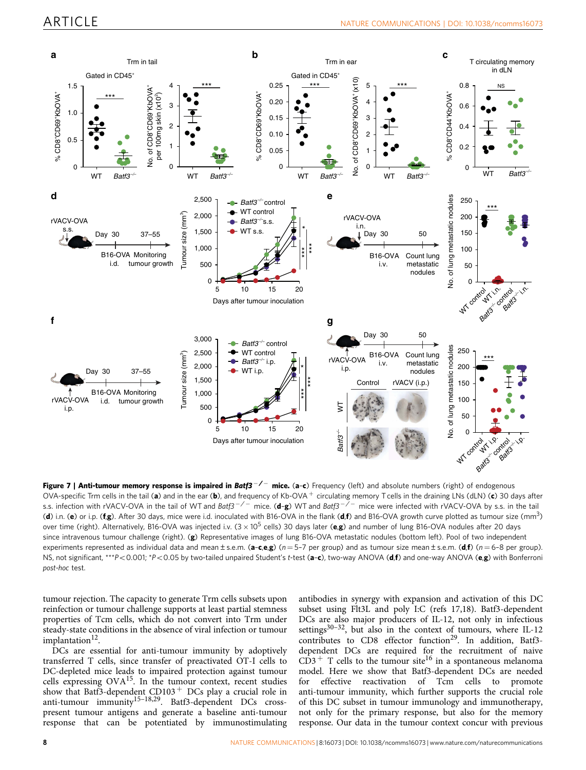<span id="page-7-0"></span>

Figure 7 | Anti-tumour memory response is impaired in Batf3<sup>-/-</sup> mice. (a-c) Frequency (left) and absolute numbers (right) of endogenous OVA-specific Trm cells in the tail (a) and in the ear (b), and frequency of Kb-OVA + circulating memory T cells in the draining LNs (dLN) (c) 30 days after s.s. infection with rVACV-OVA in the tail of WT and Batf3<sup>-/-</sup> mice. (**d-g**) WT and Batf3<sup>-/-</sup> mice were infected with rVACV-OVA by s.s. in the tail (d) i.n. (e) or i.p. (f,g). After 30 days, mice were i.d. inoculated with B16-OVA in the flank (d,f) and B16-OVA growth curve plotted as tumour size (mm<sup>3</sup>) over time (right). Alternatively, B16-OVA was injected i.v.  $(3 \times 10^5 \text{ cells})$  30 days later (e,g) and number of lung B16-OVA nodules after 20 days since intravenous tumour challenge (right). (g) Representative images of lung B16-OVA metastatic nodules (bottom left). Pool of two independent experiments represented as individual data and mean ± s.e.m. (a-c,e,g) (n = 5-7 per group) and as tumour size mean ± s.e.m. (d,f) (n = 6-8 per group). NS, not significant, \*\*\*P<0.001; \*P<0.05 by two-tailed unpaired Student's t-test (a-c), two-way ANOVA (d,f) and one-way ANOVA (e,g) with Bonferroni post-hoc test.

tumour rejection. The capacity to generate Trm cells subsets upon reinfection or tumour challenge supports at least partial stemness properties of Tcm cells, which do not convert into Trm under steady-state conditions in the absence of viral infection or tumour implantation<sup>12</sup>.

DCs are essential for anti-tumour immunity by adoptively transferred T cells, since transfer of preactivated OT-I cells to DC-depleted mice leads to impaired protection against tumour cells expressing OVA[15](#page-9-0). In the tumour context, recent studies show that Batf3-dependent  $CD103$ <sup>+</sup> DCs play a crucial role in anti-tumour immunity<sup>15-18,29</sup>. Batf3-dependent DCs crosspresent tumour antigens and generate a baseline anti-tumour response that can be potentiated by immunostimulating antibodies in synergy with expansion and activation of this DC subset using Flt3L and poly I:C [\(refs 17,18\)](#page-9-0). Batf3-dependent DCs are also major producers of IL-12, not only in infectious settings<sup>30-32</sup>, but also in the context of tumours, where IL-12 contributes to CD8 effector function<sup>29</sup>. In addition, Batf3dependent DCs are required for the recruitment of naive  $CD3$ <sup>+</sup> T cells to the tumour site<sup>16</sup> in a spontaneous melanoma model. Here we show that Batf3-dependent DCs are needed for effective reactivation of Tcm cells to promote anti-tumour immunity, which further supports the crucial role of this DC subset in tumour immunology and immunotherapy, not only for the primary response, but also for the memory response. Our data in the tumour context concur with previous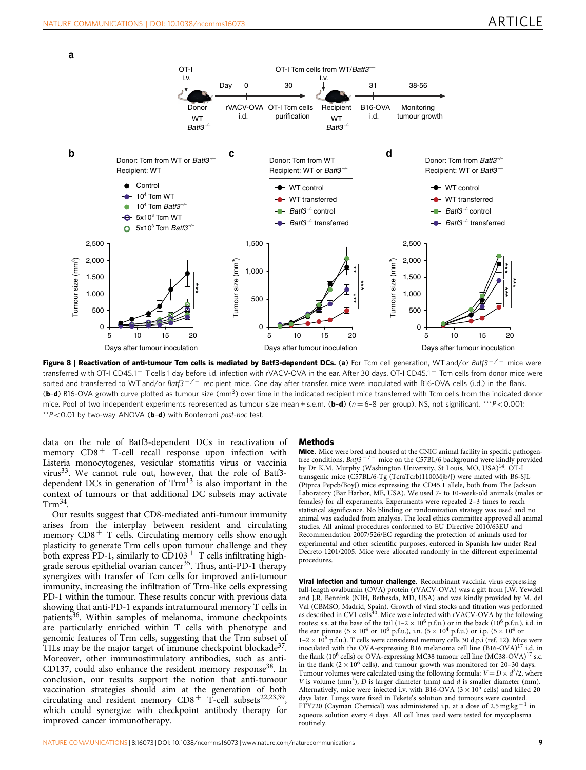<span id="page-8-0"></span>

Figure 8 | Reactivation of anti-tumour Tcm cells is mediated by Batf3-dependent DCs. (a) For Tcm cell generation, WT and/or Batf3<sup>-/-</sup> mice were transferred with OT-I CD45.1<sup>+</sup> T cells 1 day before i.d. infection with rVACV-OVA in the ear. After 30 days, OT-I CD45.1<sup>+</sup> Tcm cells from donor mice were sorted and transferred to WT and/or Batf3<sup>-/-</sup> recipient mice. One day after transfer, mice were inoculated with B16-OVA cells (i.d.) in the flank. (b-d) B16-OVA growth curve plotted as tumour size (mm<sup>3</sup>) over time in the indicated recipient mice transferred with Tcm cells from the indicated donor mice. Pool of two independent experiments represented as tumour size mean  $\pm$  s.e.m. (b-d) (n = 6-8 per group). NS, not significant, \*\*\*P<0.001;  $*P<0.01$  by two-way ANOVA (b-d) with Bonferroni post-hoc test.

data on the role of Batf3-dependent DCs in reactivation of memory  $CD8<sup>+</sup>$  T-cell recall response upon infection with Listeria monocytogenes, vesicular stomatitis virus or vaccinia virus<sup>33</sup>. We cannot rule out, however, that the role of Batf3dependent DCs in generation of  $Trm^{13}$  $Trm^{13}$  $Trm^{13}$  is also important in the context of tumours or that additional DC subsets may activate  $T$ rm $^{34}$ .

Our results suggest that CD8-mediated anti-tumour immunity arises from the interplay between resident and circulating memory  $CD8<sup>+</sup>$  T cells. Circulating memory cells show enough plasticity to generate Trm cells upon tumour challenge and they both express PD-1, similarly to  $CD103<sup>+</sup>$  T cells infiltrating highgrade serous epithelial ovarian cancer<sup>35</sup>. Thus, anti-PD-1 therapy synergizes with transfer of Tcm cells for improved anti-tumour immunity, increasing the infiltration of Trm-like cells expressing PD-1 within the tumour. These results concur with previous data showing that anti-PD-1 expands intratumoural memory T cells in patients<sup>36</sup>. Within samples of melanoma, immune checkpoints are particularly enriched within T cells with phenotype and genomic features of Trm cells, suggesting that the Trm subset of TILs may be the major target of immune checkpoint blockade<sup>37</sup>. Moreover, other immunostimulatory antibodies, such as anti-CD137, could also enhance the resident memory response<sup>38</sup>. In conclusion, our results support the notion that anti-tumour vaccination strategies should aim at the generation of both circulating and resident memory  $CD8^+$  T-cell subsets<sup>22,23,39</sup> which could synergize with checkpoint antibody therapy for improved cancer immunotherapy.

#### Methods

Mice. Mice were bred and housed at the CNIC animal facility in specific pathogenfree conditions. Batf $3^{-/-}$  mice on the C57BL/6 background were kindly provided by Dr K.M. Murphy (Washington University, St Louis, MO, USA)<sup>14</sup>. OT-I transgenic mice (C57BL/6-Tg (TcraTcrb)1100Mjb/J) were mated with B6-SJL (Ptprca Pepcb/BoyJ) mice expressing the CD45.1 allele, both from The Jackson Laboratory (Bar Harbor, ME, USA). We used 7- to 10-week-old animals (males or females) for all experiments. Experiments were repeated 2–3 times to reach statistical significance. No blinding or randomization strategy was used and no animal was excluded from analysis. The local ethics committee approved all animal studies. All animal procedures conformed to EU Directive 2010/63EU and Recommendation 2007/526/EC regarding the protection of animals used for experimental and other scientific purposes, enforced in Spanish law under Real Decreto 1201/2005. Mice were allocated randomly in the different experimental procedures.

Viral infection and tumour challenge. Recombinant vaccinia virus expressing full-length ovalbumin (OVA) protein (rVACV-OVA) was a gift from J.W. Yewdell and J.R. Bennink (NIH, Bethesda, MD, USA) and was kindly provided by M. del Val (CBMSO, Madrid, Spain). Growth of viral stocks and titration was performed<br>as described in CV1 cells<sup>[40](#page-10-0)</sup>. Mice were infected with rVACV-OVA by the following routes: s.s. at the base of the tail  $(1-2 \times 10^6 \text{ p.f.u.})$  or in the back  $(10^6 \text{ p.f.u.})$ , i.d. in the ear pinnae  $(5 \times 10^4 \text{ or } 10^6 \text{ p.f.u.})$ , i.n.  $(\frac{5}{10} \times 10^4 \text{ p.f.u.})$  or i.p.  $(5 \times 10^4 \text{ or } 10^6 \text{ p.f.u.})$  $1-2 \times 10^6$  p.f.u.). T cells were considered memory cells 30 d.p.i ([ref. 12\)](#page-9-0). Mice were inoculated with the OVA-expressing B16 melanoma cell line (B16-OVA)<sup>[17](#page-9-0)</sup> i.d. in the flank (10<sup>6</sup> cells) or OVA-expressing MC38 tumour cell line (MC38-OVA)<sup>[17](#page-9-0)</sup> s.c. in the flank ( $2 \times 10^6$  cells), and tumour growth was monitored for 20–30 days. Tumour volumes were calculated using the following formula:  $V = D \times d^2/2$ , where V is volume  $(mm<sup>3</sup>)$ , D is larger diameter (mm) and d is smaller diameter (mm). Alternatively, mice were injected i.v. with B16-OVA ( $3 \times 10^5$  cells) and killed 20 days later. Lungs were fixed in Fekete's solution and tumours were counted. FTY720 (Cayman Chemical) was administered i.p. at a dose of 2.5 mg kg<sup>-1</sup> in aqueous solution every 4 days. All cell lines used were tested for mycoplasma routinely.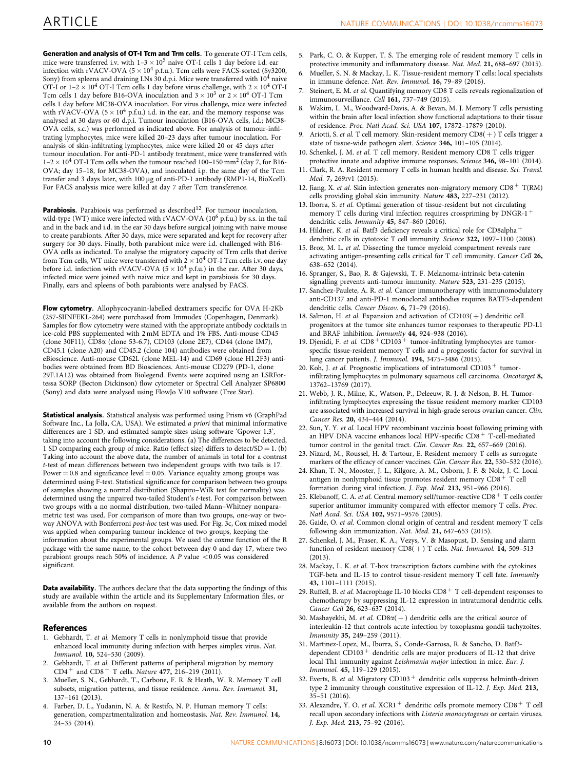<span id="page-9-0"></span>Generation and analysis of OT-I Tcm and Trm cells. To generate OT-I Tcm cells, mice were transferred i.v. with  $1-3 \times 10^5$  naive OT-I cells 1 day before i.d. ear infection with rVACV-OVA ( $5 \times 10^4$  p.f.u.). Tcm cells were FACS-sorted (Sy3200, Sony) from spleens and draining LNs  $30$  d.p.i. Mice were transferred with  $10^4$  naive OT-I or  $1-2 \times 10^4$  OT-I Tcm cells 1 day before virus challenge, with  $2 \times 10^4$  OT-I Tcm cells 1 day before B16-OVA inoculation and  $3 \times 10^3$  or  $2 \times 10^4$  OT-I Tcm cells 1 day before MC38-OVA inoculation. For virus challenge, mice were infected with rVACV-OVA ( $5 \times 10^4$  p.f.u.) i.d. in the ear, and the memory response was analysed at 30 days or 60 d.p.i. Tumour inoculation (B16-OVA cells, i.d.; MC38- OVA cells, s.c.) was performed as indicated above. For analysis of tumour-infiltrating lymphocytes, mice were killed 20–23 days after tumour inoculation. For analysis of skin-infiltrating lymphocytes, mice were killed 20 or 45 days after tumour inoculation. For anti-PD-1 antibody treatment, mice were transferred with  $1-2 \times 10^4$  OT-I Tcm cells when the tumour reached 100–150 mm<sup>2</sup> (day 7, for B16-OVA; day 15–18, for MC38-OVA), and inoculated i.p. the same day of the Tcm transfer and 3 days later, with 100 µg of anti-PD-1 antibody (RMP1-14, BioXcell). For FACS analysis mice were killed at day 7 after Tcm transference.

**Parabiosis.** Parabiosis was performed as described<sup>12</sup>. For tumour inoculation, wild-type (WT) mice were infected with rVACV-OVA (10<sup>6</sup> p.f.u.) by s.s. in the tail and in the back and i.d. in the ear 30 days before surgical joining with naive mouse to create parabionts. After 30 days, mice were separated and kept for recovery after surgery for 30 days. Finally, both parabiont mice were i.d. challenged with B16- OVA cells as indicated. To analyse the migratory capacity of Trm cells that derive from Tcm cells, WT mice were transferred with  $2 \times 10^4$  OT-I Tcm cells i.v. one day before i.d. infection with rVACV-OVA ( $5 \times 10^4$  p.f.u.) in the ear. After 30 days, infected mice were joined with naive mice and kept in parabiosis for 30 days. Finally, ears and spleens of both parabionts were analysed by FACS.

Flow cytometry. Allophycocyanin-labelled dextramers specific for OVA H-2Kb (257-SIINFEKL-264) were purchased from Immudex (Copenhagen, Denmark). Samples for flow cytometry were stained with the appropriate antibody cocktails in ice-cold PBS supplemented with 2 mM EDTA and 1% FBS. Anti-mouse CD45 (clone 30F11), CD8a (clone 53-6.7), CD103 (clone 2E7), CD44 (clone IM7), CD45.1 (clone A20) and CD45.2 (clone 104) antibodies were obtained from eBioscience. Anti-mouse CD62L (clone MEL-14) and CD69 (clone H1.2F3) antibodies were obtained from BD Biosciences. Anti-mouse CD279 (PD-1, clone 29F.1A12) was obtained from Biolegend. Events were acquired using an LSRFortessa SORP (Becton Dickinson) flow cytometer or Spectral Cell Analyzer SP6800 (Sony) and data were analysed using FlowJo V10 software (Tree Star).

Statistical analysis. Statistical analysis was performed using Prism v6 (GraphPad Software Inc., La Jolla, CA, USA). We estimated a priori that minimal informative differences are 1 SD, and estimated sample sizes using software 'Gpower 1.3', taking into account the following considerations. (a) The differences to be detected, 1 SD comparing each group of mice. Ratio (effect size) differs to detect/SD = 1. (b) Taking into account the above data, the number of animals in total for a contrast t-test of mean differences between two independent groups with two tails is 17. Power  $= 0.8$  and significance level  $= 0.05$ . Variance equality among groups was determined using F-test. Statistical significance for comparison between two groups of samples showing a normal distribution (Shapiro–Wilk test for normality) was determined using the unpaired two-tailed Student's t-test. For comparison between two groups with a no normal distribution, two-tailed Mann–Whitney nonparametric test was used. For comparison of more than two groups, one-way or twoway ANOVA with Bonferroni post-hoc test was used. For [Fig. 3c](#page-3-0), Cox mixed model was applied when comparing tumour incidence of two groups, keeping the information about the experimental groups. We used the coxme function of the R package with the same name, to the cohort between day 0 and day 17, where two parabiont groups reach 50% of incidence. A  $P$  value  $<$  0.05 was considered significant.

Data availability. The authors declare that the data supporting the findings of this study are available within the article and its Supplementary Information files, or available from the authors on request.

#### References

- 1. Gebhardt, T. et al. Memory T cells in nonlymphoid tissue that provide enhanced local immunity during infection with herpes simplex virus. Nat. Immunol. 10, 524–530 (2009).
- 2. Gebhardt, T. et al. Different patterns of peripheral migration by memory  $CD4^+$  and  $CD8^+$  T cells. Nature 477, 216-219 (2011).
- 3. Mueller, S. N., Gebhardt, T., Carbone, F. R. & Heath, W. R. Memory T cell subsets, migration patterns, and tissue residence. Annu. Rev. Immunol. 31, 137–161 (2013).
- 4. Farber, D. L., Yudanin, N. A. & Restifo, N. P. Human memory T cells: generation, compartmentalization and homeostasis. Nat. Rev. Immunol. 14, 24–35 (2014).
- 5. Park, C. O. & Kupper, T. S. The emerging role of resident memory T cells in protective immunity and inflammatory disease. Nat. Med. 21, 688-697 (2015).
- 6. Mueller, S. N. & Mackay, L. K. Tissue-resident memory T cells: local specialists in immune defence. Nat. Rev. Immunol. 16, 79–89 (2016).
- Steinert, E. M. et al. Quantifying memory CD8 T cells reveals regionalization of immunosurveillance. Cell 161, 737–749 (2015).
- Wakim, L. M., Woodward-Davis, A. & Bevan, M. J. Memory T cells persisting within the brain after local infection show functional adaptations to their tissue of residence. Proc. Natl Acad. Sci. USA 107, 17872–17879 (2010).
- 9. Ariotti, S. et al. T cell memory. Skin-resident memory  $CDS(+)$  T cells trigger a state of tissue-wide pathogen alert. Science 346, 101-105 (2014).
- 10. Schenkel, J. M. et al. T cell memory. Resident memory CD8 T cells trigger protective innate and adaptive immune responses. Science 346, 98–101 (2014).
- 11. Clark, R. A. Resident memory T cells in human health and disease. Sci. Transl. Med. 7, 269rv1 (2015).
- 12. Jiang, X. et al. Skin infection generates non-migratory memory  $CD8^+$  T(RM) cells providing global skin immunity. Nature 483, 227–231 (2012).
- 13. Iborra, S. et al. Optimal generation of tissue-resident but not circulating memory T cells during viral infection requires crosspriming by  $DNGR-1$ <sup>+</sup> dendritic cells. Immunity 45, 847–860 (2016).
- 14. Hildner, K. et al. Batf3 deficiency reveals a critical role for CD8alpha<sup>+</sup> dendritic cells in cytotoxic T cell immunity. Science 322, 1097–1100 (2008).
- 15. Broz, M. L. et al. Dissecting the tumor myeloid compartment reveals rare activating antigen-presenting cells critical for T cell immunity. Cancer Cell 26, 638–652 (2014).
- 16. Spranger, S., Bao, R. & Gajewski, T. F. Melanoma-intrinsic beta-catenin signalling prevents anti-tumour immunity. Nature 523, 231–235 (2015).
- 17. Sanchez-Paulete, A. R. et al. Cancer immunotherapy with immunomodulatory anti-CD137 and anti-PD-1 monoclonal antibodies requires BATF3-dependent dendritic cells. Cancer Discov. 6, 71-79 (2016).
- 18. Salmon, H. et al. Expansion and activation of  $CD103(+)$  dendritic cell progenitors at the tumor site enhances tumor responses to therapeutic PD-L1 and BRAF inhibition. Immunity 44, 924–938 (2016).
- 19. Djenidi, F. et al.  $CD8 + CD103 +$  tumor-infiltrating lymphocytes are tumorspecific tissue-resident memory T cells and a prognostic factor for survival in lung cancer patients. J. Immunol. 194, 3475–3486 (2015).
- 20. Koh, J. et al. Prognostic implications of intratumoral  $CD103$ <sup>+</sup> tumorinfiltrating lymphocytes in pulmonary squamous cell carcinoma. Oncotarget 8, 13762–13769 (2017).
- 21. Webb, J. R., Milne, K., Watson, P., Deleeuw, R. J. & Nelson, B. H. Tumorinfiltrating lymphocytes expressing the tissue resident memory marker CD103 are associated with increased survival in high-grade serous ovarian cancer. Clin. Cancer Res. 20, 434–444 (2014).
- 22. Sun, Y. Y. et al. Local HPV recombinant vaccinia boost following priming with an HPV DNA vaccine enhances local HPV-specific  $CD8$ <sup>+</sup> T-cell-mediated tumor control in the genital tract. Clin. Cancer Res. 22, 657–669 (2016).
- 23. Nizard, M., Roussel, H. & Tartour, E. Resident memory T cells as surrogate markers of the efficacy of cancer vaccines. Clin. Cancer Res. 22, 530-532 (2016).
- 24. Khan, T. N., Mooster, J. L., Kilgore, A. M., Osborn, J. F. & Nolz, J. C. Local antigen in nonlymphoid tissue promotes resident memory  $CD8 + T$  cell formation during viral infection. J. Exp. Med. 213, 951–966 (2016).
- 25. Klebanoff, C. A. et al. Central memory self/tumor-reactive CD8  $^+$  T cells confer superior antitumor immunity compared with effector memory T cells. Proc. Natl Acad. Sci. USA 102, 9571–9576 (2005).
- 26. Gaide, O. et al. Common clonal origin of central and resident memory T cells following skin immunization. Nat. Med. 21, 647–653 (2015).
- 27. Schenkel, J. M., Fraser, K. A., Vezys, V. & Masopust, D. Sensing and alarm function of resident memory  $CD8(+)$  T cells. Nat. Immunol. 14, 509-513 (2013).
- 28. Mackay, L. K. et al. T-box transcription factors combine with the cytokines TGF-beta and IL-15 to control tissue-resident memory T cell fate. Immunity 43, 1101–1111 (2015).
- 29. Ruffell, B. et al. Macrophage IL-10 blocks  $\text{CD}8\text{+}$  T cell-dependent responses to chemotherapy by suppressing IL-12 expression in intratumoral dendritic cells. Cancer Cell 26, 623–637 (2014).
- 30. Mashayekhi, M. et al.  $CD8\alpha$ (+) dendritic cells are the critical source of interleukin-12 that controls acute infection by toxoplasma gondii tachyzoites. Immunity 35, 249–259 (2011).
- 31. Martinez-Lopez, M., Iborra, S., Conde-Garrosa, R. & Sancho, D. Batf3 dependent  $CD103$ <sup>+</sup> dendritic cells are major producers of IL-12 that drive local Th1 immunity against Leishmania major infection in mice. Eur. J. Immunol. 45, 119–129 (2015).
- 32. Everts, B. et al. Migratory  $CD103<sup>+</sup>$  dendritic cells suppress helminth-driven type 2 immunity through constitutive expression of IL-12. J. Exp. Med. 213, 35–51 (2016).
- 33. Alexandre, Y. O. et al.  $XCR1$ <sup>+</sup> dendritic cells promote memory  $CD8$ <sup>+</sup> T cell recall upon secondary infections with Listeria monocytogenes or certain viruses. J. Exp. Med. 213, 75–92 (2016).